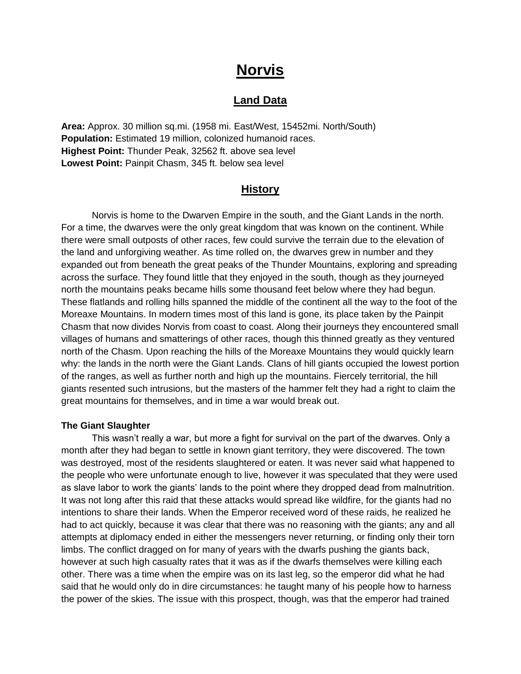# **Norvis**

# **Land Data**

**Area:** Approx. 30 million sq.mi. (1958 mi. East/West, 15452mi. North/South) **Population:** Estimated 19 million, colonized humanoid races. **Highest Point:** Thunder Peak, 32562 ft. above sea level **Lowest Point:** Painpit Chasm, 345 ft. below sea level

# **History**

 Norvis is home to the Dwarven Empire in the south, and the Giant Lands in the north. For a time, the dwarves were the only great kingdom that was known on the continent. While there were small outposts of other races, few could survive the terrain due to the elevation of the land and unforgiving weather. As time rolled on, the dwarves grew in number and they expanded out from beneath the great peaks of the Thunder Mountains, exploring and spreading across the surface. They found little that they enjoyed in the south, though as they journeyed north the mountains peaks became hills some thousand feet below where they had begun. These flatlands and rolling hills spanned the middle of the continent all the way to the foot of the Moreaxe Mountains. In modern times most of this land is gone, its place taken by the Painpit Chasm that now divides Norvis from coast to coast. Along their journeys they encountered small villages of humans and smatterings of other races, though this thinned greatly as they ventured north of the Chasm. Upon reaching the hills of the Moreaxe Mountains they would quickly learn why: the lands in the north were the Giant Lands. Clans of hill giants occupied the lowest portion of the ranges, as well as further north and high up the mountains. Fiercely territorial, the hill giants resented such intrusions, but the masters of the hammer felt they had a right to claim the great mountains for themselves, and in time a war would break out.

#### **The Giant Slaughter**

 This wasn't really a war, but more a fight for survival on the part of the dwarves. Only a month after they had began to settle in known giant territory, they were discovered. The town was destroyed, most of the residents slaughtered or eaten. It was never said what happened to the people who were unfortunate enough to live, however it was speculated that they were used as slave labor to work the giants' lands to the point where they dropped dead from malnutrition. It was not long after this raid that these attacks would spread like wildfire, for the giants had no intentions to share their lands. When the Emperor received word of these raids, he realized he had to act quickly, because it was clear that there was no reasoning with the giants; any and all attempts at diplomacy ended in either the messengers never returning, or finding only their torn limbs. The conflict dragged on for many of years with the dwarfs pushing the giants back, however at such high casualty rates that it was as if the dwarfs themselves were killing each other. There was a time when the empire was on its last leg, so the emperor did what he had said that he would only do in dire circumstances: he taught many of his people how to harness the power of the skies. The issue with this prospect, though, was that the emperor had trained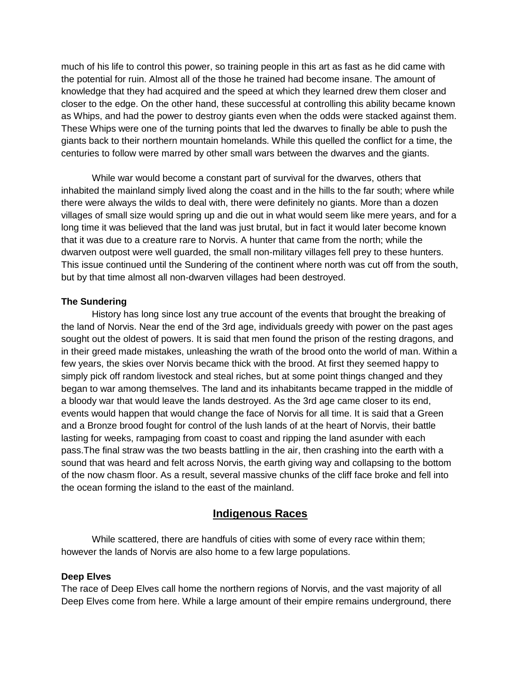much of his life to control this power, so training people in this art as fast as he did came with the potential for ruin. Almost all of the those he trained had become insane. The amount of knowledge that they had acquired and the speed at which they learned drew them closer and closer to the edge. On the other hand, these successful at controlling this ability became known as Whips, and had the power to destroy giants even when the odds were stacked against them. These Whips were one of the turning points that led the dwarves to finally be able to push the giants back to their northern mountain homelands. While this quelled the conflict for a time, the centuries to follow were marred by other small wars between the dwarves and the giants.

 While war would become a constant part of survival for the dwarves, others that inhabited the mainland simply lived along the coast and in the hills to the far south; where while there were always the wilds to deal with, there were definitely no giants. More than a dozen villages of small size would spring up and die out in what would seem like mere years, and for a long time it was believed that the land was just brutal, but in fact it would later become known that it was due to a creature rare to Norvis. A hunter that came from the north; while the dwarven outpost were well guarded, the small non-military villages fell prey to these hunters. This issue continued until the Sundering of the continent where north was cut off from the south, but by that time almost all non-dwarven villages had been destroyed.

#### **The Sundering**

 History has long since lost any true account of the events that brought the breaking of the land of Norvis. Near the end of the 3rd age, individuals greedy with power on the past ages sought out the oldest of powers. It is said that men found the prison of the resting dragons, and in their greed made mistakes, unleashing the wrath of the brood onto the world of man. Within a few years, the skies over Norvis became thick with the brood. At first they seemed happy to simply pick off random livestock and steal riches, but at some point things changed and they began to war among themselves. The land and its inhabitants became trapped in the middle of a bloody war that would leave the lands destroyed. As the 3rd age came closer to its end, events would happen that would change the face of Norvis for all time. It is said that a Green and a Bronze brood fought for control of the lush lands of at the heart of Norvis, their battle lasting for weeks, rampaging from coast to coast and ripping the land asunder with each pass.The final straw was the two beasts battling in the air, then crashing into the earth with a sound that was heard and felt across Norvis, the earth giving way and collapsing to the bottom of the now chasm floor. As a result, several massive chunks of the cliff face broke and fell into the ocean forming the island to the east of the mainland.

# **Indigenous Races**

 While scattered, there are handfuls of cities with some of every race within them; however the lands of Norvis are also home to a few large populations.

#### **Deep Elves**

The race of Deep Elves call home the northern regions of Norvis, and the vast majority of all Deep Elves come from here. While a large amount of their empire remains underground, there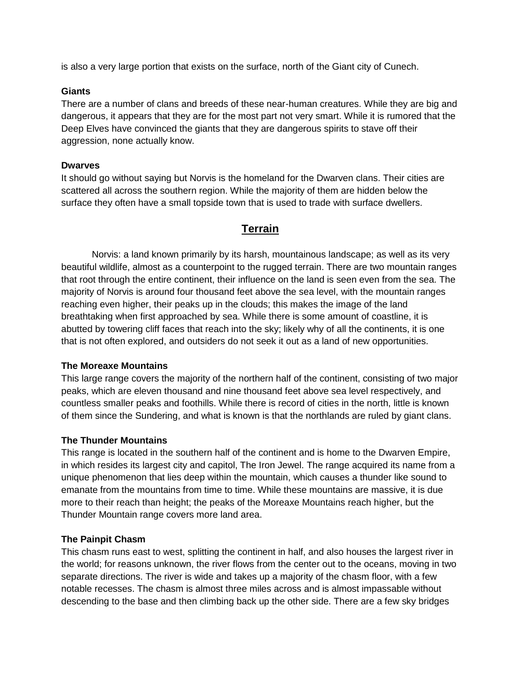is also a very large portion that exists on the surface, north of the Giant city of Cunech.

## **Giants**

There are a number of clans and breeds of these near-human creatures. While they are big and dangerous, it appears that they are for the most part not very smart. While it is rumored that the Deep Elves have convinced the giants that they are dangerous spirits to stave off their aggression, none actually know.

## **Dwarves**

It should go without saying but Norvis is the homeland for the Dwarven clans. Their cities are scattered all across the southern region. While the majority of them are hidden below the surface they often have a small topside town that is used to trade with surface dwellers.

# **Terrain**

 Norvis: a land known primarily by its harsh, mountainous landscape; as well as its very beautiful wildlife, almost as a counterpoint to the rugged terrain. There are two mountain ranges that root through the entire continent, their influence on the land is seen even from the sea. The majority of Norvis is around four thousand feet above the sea level, with the mountain ranges reaching even higher, their peaks up in the clouds; this makes the image of the land breathtaking when first approached by sea. While there is some amount of coastline, it is abutted by towering cliff faces that reach into the sky; likely why of all the continents, it is one that is not often explored, and outsiders do not seek it out as a land of new opportunities.

# **The Moreaxe Mountains**

This large range covers the majority of the northern half of the continent, consisting of two major peaks, which are eleven thousand and nine thousand feet above sea level respectively, and countless smaller peaks and foothills. While there is record of cities in the north, little is known of them since the Sundering, and what is known is that the northlands are ruled by giant clans.

# **The Thunder Mountains**

This range is located in the southern half of the continent and is home to the Dwarven Empire, in which resides its largest city and capitol, The Iron Jewel. The range acquired its name from a unique phenomenon that lies deep within the mountain, which causes a thunder like sound to emanate from the mountains from time to time. While these mountains are massive, it is due more to their reach than height; the peaks of the Moreaxe Mountains reach higher, but the Thunder Mountain range covers more land area.

#### **The Painpit Chasm**

This chasm runs east to west, splitting the continent in half, and also houses the largest river in the world; for reasons unknown, the river flows from the center out to the oceans, moving in two separate directions. The river is wide and takes up a majority of the chasm floor, with a few notable recesses. The chasm is almost three miles across and is almost impassable without descending to the base and then climbing back up the other side. There are a few sky bridges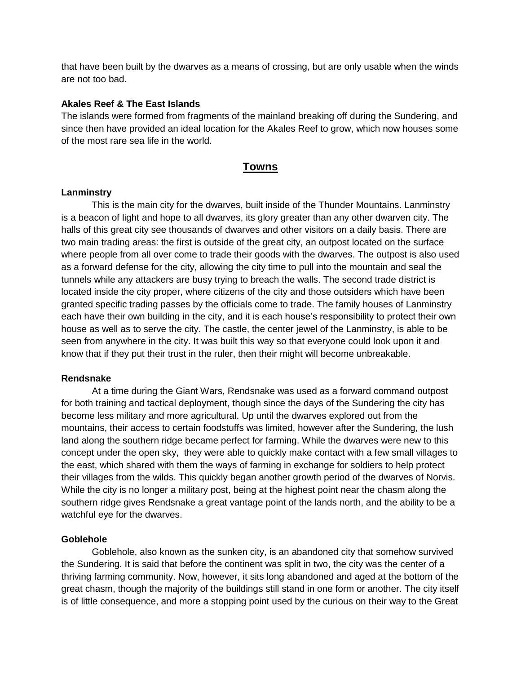that have been built by the dwarves as a means of crossing, but are only usable when the winds are not too bad.

#### **Akales Reef & The East Islands**

The islands were formed from fragments of the mainland breaking off during the Sundering, and since then have provided an ideal location for the Akales Reef to grow, which now houses some of the most rare sea life in the world.

# **Towns**

## **Lanminstry**

This is the main city for the dwarves, built inside of the Thunder Mountains. Lanminstry is a beacon of light and hope to all dwarves, its glory greater than any other dwarven city. The halls of this great city see thousands of dwarves and other visitors on a daily basis. There are two main trading areas: the first is outside of the great city, an outpost located on the surface where people from all over come to trade their goods with the dwarves. The outpost is also used as a forward defense for the city, allowing the city time to pull into the mountain and seal the tunnels while any attackers are busy trying to breach the walls. The second trade district is located inside the city proper, where citizens of the city and those outsiders which have been granted specific trading passes by the officials come to trade. The family houses of Lanminstry each have their own building in the city, and it is each house's responsibility to protect their own house as well as to serve the city. The castle, the center jewel of the Lanminstry, is able to be seen from anywhere in the city. It was built this way so that everyone could look upon it and know that if they put their trust in the ruler, then their might will become unbreakable.

# **Rendsnake**

At a time during the Giant Wars, Rendsnake was used as a forward command outpost for both training and tactical deployment, though since the days of the Sundering the city has become less military and more agricultural. Up until the dwarves explored out from the mountains, their access to certain foodstuffs was limited, however after the Sundering, the lush land along the southern ridge became perfect for farming. While the dwarves were new to this concept under the open sky, they were able to quickly make contact with a few small villages to the east, which shared with them the ways of farming in exchange for soldiers to help protect their villages from the wilds. This quickly began another growth period of the dwarves of Norvis. While the city is no longer a military post, being at the highest point near the chasm along the southern ridge gives Rendsnake a great vantage point of the lands north, and the ability to be a watchful eye for the dwarves.

# **Goblehole**

Goblehole, also known as the sunken city, is an abandoned city that somehow survived the Sundering. It is said that before the continent was split in two, the city was the center of a thriving farming community. Now, however, it sits long abandoned and aged at the bottom of the great chasm, though the majority of the buildings still stand in one form or another. The city itself is of little consequence, and more a stopping point used by the curious on their way to the Great